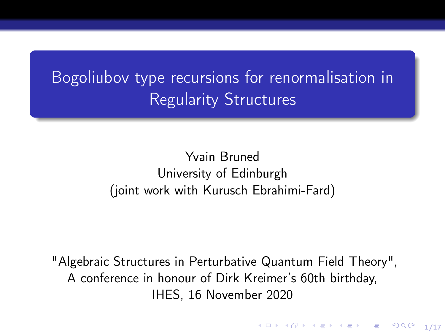Bogoliubov type recursions for renormalisation in Regularity Structures

> Yvain Bruned University of Edinburgh (joint work with Kurusch Ebrahimi-Fard)

"Algebraic Structures in Perturbative Quantum Field Theory", A conference in honour of Dirk Kreimer's 60th birthday, IHES, 16 November 2020

1/17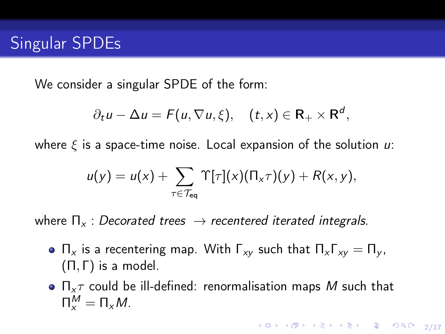We consider a singular SPDE of the form:

$$
\partial_t u - \Delta u = F(u, \nabla u, \xi), \quad (t, x) \in \mathbf{R}_+ \times \mathbf{R}^d,
$$

where  $\xi$  is a space-time noise. Local expansion of the solution  $u$ :

$$
u(y) = u(x) + \sum_{\tau \in \mathcal{T}_{eq}} \Upsilon[\tau](x) (\Pi_x \tau)(y) + R(x, y),
$$

where  $\Pi_{x}$ : Decorated trees  $\rightarrow$  recentered iterated integrals.

- $\Pi_x$  is a recentering map. With  $\Gamma_{xy}$  such that  $\Pi_x \Gamma_{xy} = \Pi_y$ ,  $(Π, Γ)$  is a model.
- $\bullet$   $\Pi_{\times}\tau$  could be ill-defined: renormalisation maps M such that  $\prod_{x}^{M} = \prod_{x} M$ .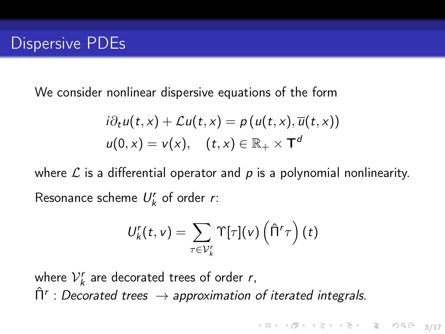We consider nonlinear dispersive equations of the form

$$
i\partial_t u(t,x) + \mathcal{L}u(t,x) = p(u(t,x), \overline{u}(t,x))
$$
  

$$
u(0,x) = v(x), \quad (t,x) \in \mathbb{R}_+ \times \mathsf{T}^d
$$

where  $\mathcal L$  is a differential operator and p is a polynomial nonlinearity. Resonance scheme  $U_k^r$  of order r:

$$
U_k^r(t,v) = \sum_{\tau \in \mathcal{V}_k^r} \Upsilon[\tau](v) \left(\hat{\Pi}^r \tau\right)(t)
$$

where  $V_k^r$  are decorated trees of order r,  $\hat{\Pi}^r$  : Decorated trees  $\rightarrow$  approximation of iterated integrals.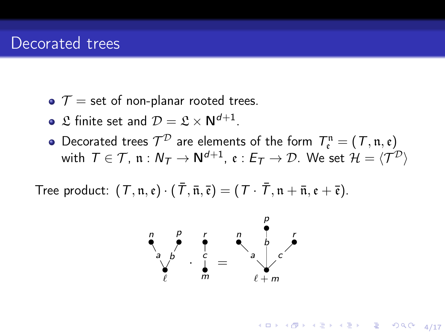- $\bullet$   $\mathcal{T}$  = set of non-planar rooted trees.
- $\mathfrak L$  finite set and  $\mathcal D=\mathfrak L\times\mathsf N^{d+1}.$
- Decorated trees  $\mathcal{T}^\mathcal{D}$  are elements of the form  $\mathcal{T}_{\mathfrak{e}}^{\mathfrak{n}} = (\mathcal{T}, \mathfrak{n}, \mathfrak{e})$ with  $\mathcal{T} \in \mathcal{T}$ ,  $\mathfrak{n} : N_\mathcal{T} \to \mathsf{N}^{d+1}$ ,  $\mathfrak{e} : E_\mathcal{T} \to \mathcal{D}$ . We set  $\mathcal{H} = \langle \mathcal{T}^\mathcal{D} \rangle$

Tree product:  $(T, \mathfrak{n}, \mathfrak{e}) \cdot (\overline{T}, \overline{\mathfrak{n}}, \overline{\mathfrak{e}}) = (T \cdot \overline{T}, \mathfrak{n} + \overline{\mathfrak{n}}, \mathfrak{e} + \overline{\mathfrak{e}}).$ 



4/ 미 시 - 4개 시 - 4개 시 - 4개 기 - 4개 기 - 4개 기 - 4개 기 - 4개 기 - 4개 기 - 4개 기 - 4개 기 - 4개 기 - 4개 기 - 4개 기 - 4개 기 - 4개 기 - 4개 기 - 4개 기 - 4개 기 - 4개 기 - 4개 기 - 4개 기 - 4개 기 - 4개 기 - 4개 기 - 4개 기 - 4개 기 - 4개 기 - 4개 기 - 4개 기 - 4개 기 - 4개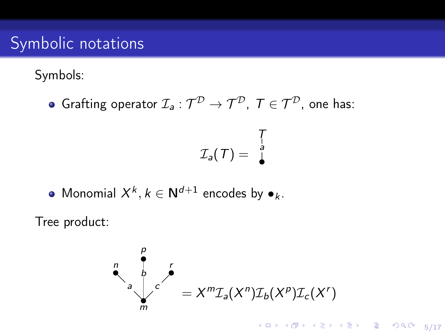# Symbolic notations

Symbols:

Grafting operator  $\mathcal{I}_\mathsf{a}:\mathcal{T}^\mathcal{D} \to \mathcal{T}^\mathcal{D}, \; \mathcal{T} \in \mathcal{T}^\mathcal{D},$  one has:

$$
\mathcal{I}_a(T) = \begin{bmatrix} T \\ a \\ b \end{bmatrix}
$$

• Monomial 
$$
X^k, k \in \mathbb{N}^{d+1}
$$
 encodes by  $\bullet_k$ .

Tree product:

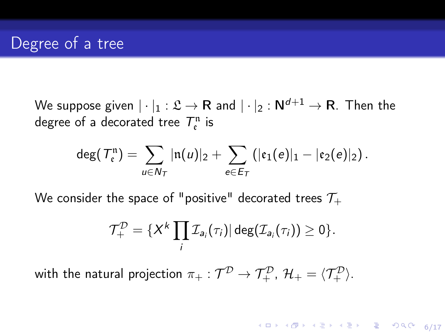We suppose given  $|\cdot|_1 : \mathfrak{L} \to \mathsf{R}$  and  $|\cdot|_2 : \mathsf{N}^{d+1} \to \mathsf{R}$ . Then the degree of a decorated tree  $T_{\mathfrak{e}}^{\mathfrak{n}}$  is

$$
\deg(\mathcal{T}_{\mathfrak{e}}^n)=\sum_{u\in N_{\mathcal{T}}}|n(u)|_2+\sum_{e\in E_{\mathcal{T}}}||\mathfrak{e}_1(e)|_1-|\mathfrak{e}_2(e)|_2).
$$

We consider the space of "positive" decorated trees  $\mathcal{T}_+$ 

$$
\mathcal{T}^{\mathcal{D}}_{+} = \{X^{k}\prod_{i}\mathcal{I}_{a_{i}}(\tau_{i})|\deg(\mathcal{I}_{a_{i}}(\tau_{i}))\geq 0\}.
$$

with the natural projection  $\pi_+:\mathcal{T}^\mathcal{D} \to \mathcal{T}^\mathcal{D}_+$ ,  $\mathcal{H}_+=\langle \mathcal{T}^\mathcal{D}_+ \rangle.$ 

4 ロ ▶ ( @ ) ( 호 ) ( 호 ) - 호 - ⊙ 9 ( 0 ) 6/17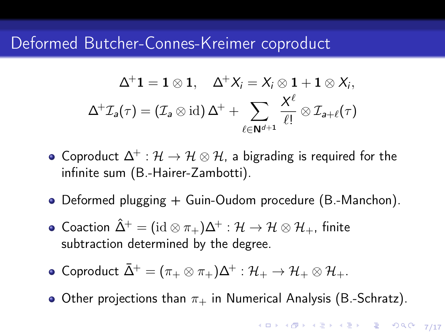## Deformed Butcher-Connes-Kreimer coproduct

$$
\Delta^+ \mathbf{1} = \mathbf{1} \otimes \mathbf{1}, \quad \Delta^+ X_i = X_i \otimes \mathbf{1} + \mathbf{1} \otimes X_i,
$$
  

$$
\Delta^+ \mathcal{I}_a(\tau) = (\mathcal{I}_a \otimes \mathrm{id}) \Delta^+ + \sum_{\ell \in \mathbb{N}^{d+1}} \frac{X^{\ell}}{\ell!} \otimes \mathcal{I}_{a+\ell}(\tau)
$$

- Coproduct  $\Delta^+ : \mathcal{H} \to \mathcal{H} \otimes \mathcal{H}$ , a bigrading is required for the infinite sum (B.-Hairer-Zambotti).
- Deformed plugging + Guin-Oudom procedure (B.-Manchon).
- Coaction  $\hat{\Delta}^+ = (\mathrm{id} \otimes \pi_+) \Delta^+ : \mathcal{H} \to \mathcal{H} \otimes \mathcal{H}_+$ , finite subtraction determined by the degree.
- Coproduct  $\bar{\Delta}^+ = (\pi_+ \otimes \pi_+) \Delta^+ : {\cal H}_+ \to {\cal H}_+ \otimes {\cal H}_+.$
- Other projections than  $\pi_+$  in Numerical Analysis (B.-Schratz).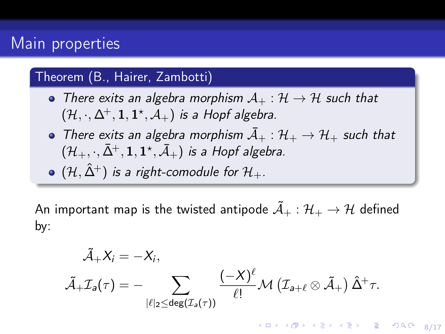## Main properties

#### Theorem (B., Hairer, Zambotti)

- There exits an algebra morphism  $A_+ : \mathcal{H} \to \mathcal{H}$  such that  $(\mathcal{H}, \cdot, \Delta^+, \mathbf{1}, \mathbf{1}^\star, \mathcal{A}_+)$  is a Hopf algebra.
- There exits an algebra morphism  $\overline{A}_+ : \mathcal{H}_+ \to \mathcal{H}_+$  such that  $(\mathcal{H}_+,\cdot,\bar{\Delta}^+,1,1^\star,\bar{\mathcal{A}}_+)$  is a Hopf algebra.
- $\bullet$  (H,  $\hat{\Delta}^{+}$ ) is a right-comodule for  $\mathcal{H}_{+}$ .

An important map is the twisted antipode  $A_+ : \mathcal{H}_+ \to \mathcal{H}$  defined by:

$$
\tilde{\mathcal{A}}_+X_i = -X_i,\\ \tilde{\mathcal{A}}_+ \mathcal{I}_{{\boldsymbol{a}}}(\tau) = - \sum_{|\ell|_2 \leq \text{deg}(\mathcal{I}_{{\boldsymbol{a}}}(\tau))} \frac{(-X)^{\ell}}{\ell!} \mathcal{M}\left(\mathcal{I}_{{\boldsymbol{a}}} + \ell \otimes \tilde{\mathcal{A}}_+\right) \hat{\Delta}^+ \tau.
$$

8/17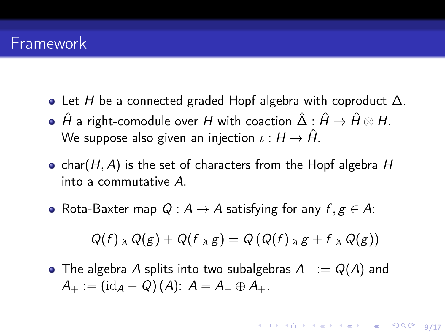#### Framework

- Let H be a connected graded Hopf algebra with coproduct  $\Delta$ .
- $\bullet$   $\hat{H}$  a right-comodule over  $H$  with coaction  $\hat{\Delta}$  :  $\hat{H} \rightarrow \hat{H} \otimes H$ . We suppose also given an injection  $\iota : H \to \hat{H}$ .
- char( $H$ , A) is the set of characters from the Hopf algebra  $H$ into a commutative A.
- $\bullet$  Rota-Baxter map  $Q: A \rightarrow A$  satisfying for any  $f, g \in A$ :

$$
Q(f) \underset{A}{\wedge} Q(g) + Q(f \underset{A}{\wedge} g) = Q(Q(f) \underset{A}{\wedge} g + f \underset{A}{\wedge} Q(g))
$$

• The algebra A splits into two subalgebras  $A_ - := Q(A)$  and  $A_+ := (\mathrm{id}_A - Q)(A)$ :  $A = A_- \oplus A_+$ .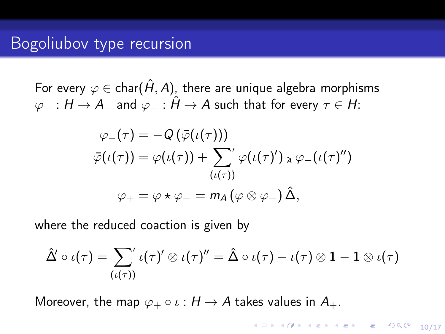For every  $\varphi \in \text{char}(\hat{H}, A)$ , there are unique algebra morphisms  $\varphi_- : H \to A_-$  and  $\varphi_+ : \hat{H} \to A$  such that for every  $\tau \in H$ :

$$
\varphi_{-}(\tau) = -Q(\bar{\varphi}(\iota(\tau)))
$$
  

$$
\bar{\varphi}(\iota(\tau)) = \varphi(\iota(\tau)) + \sum_{(\iota(\tau))}^{\prime'} \varphi(\iota(\tau)') \circ \varphi_{-}(\iota(\tau)'')
$$
  

$$
\varphi_{+} = \varphi \star \varphi_{-} = m_{A}(\varphi \otimes \varphi_{-}) \hat{\Delta},
$$

where the reduced coaction is given by

$$
\hat{\Delta}'\circ\iota(\tau)=\sum_{(\iota(\tau))} \iota(\tau)'\otimes \iota(\tau)''=\hat{\Delta}\circ\iota(\tau)-\iota(\tau)\otimes \mathbf{1}-\mathbf{1}\otimes \iota(\tau)
$$

Moreover, the map  $\varphi_+ \circ \iota : H \to A$  takes values in  $A_+.$ 

-<br>10/17 12 12 14 12 14 12 14 15 16 17 17 18 19 19 10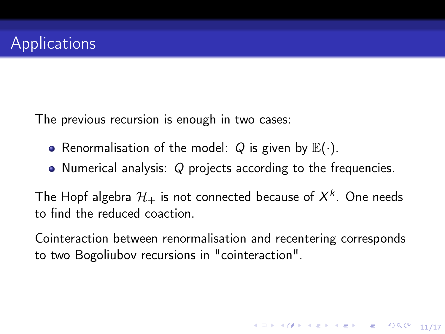The previous recursion is enough in two cases:

- Renormalisation of the model: Q is given by  $\mathbb{E}(\cdot)$ .
- Numerical analysis:  $Q$  projects according to the frequencies.

The Hopf algebra  $\mathcal{H}_+$  is not connected because of  $X^k.$  One needs to find the reduced coaction.

Cointeraction between renormalisation and recentering corresponds to two Bogoliubov recursions in "cointeraction".

11/17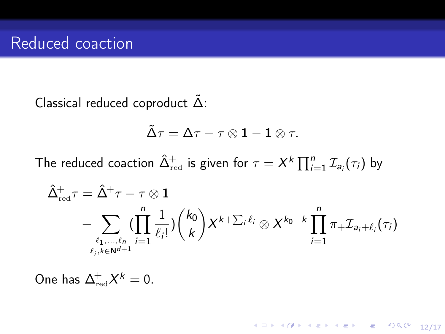Classical reduced coproduct  $\tilde{\Delta}$ :

$$
\mathop{\tilde\Delta} \tau = \Delta \tau - \tau \otimes \mathbf{1} - \mathbf{1} \otimes \tau.
$$

The reduced coaction  $\hat{\Delta}_{\rm red}^{+}$  is given for  $\tau = X^{k}\prod_{i=1}^{n}\mathcal{I}_{\mathsf{a}_{i}}(\tau_{i})$  by

$$
\begin{aligned} \hat{\Delta}_{\text{red}}^+ \tau &= \hat{\Delta}^+ \tau - \tau \otimes \mathbf{1} \\ &- \sum_{\ell_1,\ldots,\ell_n \atop \ell_j, k \in \mathsf{N}^{d+1}} (\prod_{i=1}^n \frac{1}{\ell_i !}) {k_0 \choose k} X^{k+\sum_i \ell_i} \otimes X^{k_0-k} \prod_{i=1}^n \pi_+ \mathcal{I}_{\mathsf{a}_i+\ell_i}(\tau_i) \end{aligned}
$$

One has  $\Delta^+_\text{red} X^k = 0$ .

10 H (日) 12 H (모) 12 H 2 9 9 0 12/17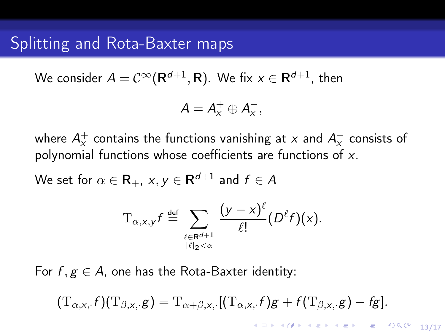#### Splitting and Rota-Baxter maps

We consider  $A=\mathcal{C}^\infty(\mathsf{R}^{d+1},\mathsf{R}).$  We fix  $x\in\mathsf{R}^{d+1},$  then

$$
A=A_x^+\oplus A_x^-,
$$

where  $A_\mathsf{x}^+$  contains the functions vanishing at  $\mathsf{x}$  and  $A_\mathsf{x}^-$  consists of polynomial functions whose coefficients are functions of x.

We set for  $\alpha\in \mathsf{R}_+$ ,  $\text{x},\text{y}\in \mathsf{R}^{d+1}$  and  $f\in \mathcal{A}$ 

$$
T_{\alpha,x,y}f \stackrel{\text{def}}{=} \sum_{\substack{\ell \in \mathbf{R}^{d+1} \\ |\ell|_2 < \alpha}} \frac{(y-x)^{\ell}}{\ell!} (D^{\ell}f)(x).
$$

For  $f, g \in A$ , one has the Rota-Baxter identity:

$$
(\mathrm{T}_{\alpha,\mathsf{x},\cdot} f)(\mathrm{T}_{\beta,\mathsf{x},\cdot} g)=\mathrm{T}_{\alpha+\beta,\mathsf{x},\cdot}[(\mathrm{T}_{\alpha,\mathsf{x},\cdot} f)g+f(\mathrm{T}_{\beta,\mathsf{x},\cdot} g)-fg].
$$

10 8 12 8 12 8 12 8 13 9 14 14 15 17 17 18 18 19 10 11 12 13 14 15 16 16 17 18 18 18 18 18 18 18 18 1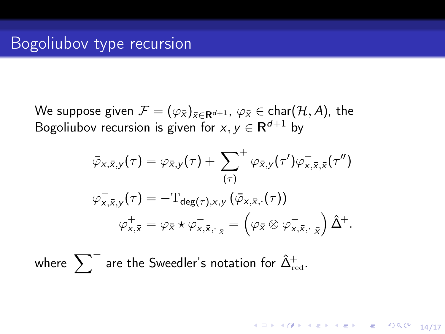We suppose given  $\mathcal{F} = (\varphi_{\bar{x}})_{\bar{x} \in \mathbf{R}^{d+1}}$ ,  $\varphi_{\bar{x}} \in \text{char}(\mathcal{H}, A)$ , the Bogoliubov recursion is given for  $x, y \in \mathsf{R}^{d+1}$  by

$$
\bar{\varphi}_{x,\bar{x},y}(\tau) = \varphi_{\bar{x},y}(\tau) + \sum_{(\tau)}^{+\infty} \varphi_{\bar{x},y}(\tau') \varphi_{x,\bar{x},\bar{x}}^{-}(\tau'')
$$
\n
$$
\varphi_{x,\bar{x},y}(\tau) = -\mathrm{T}_{\deg(\tau),x,y} (\bar{\varphi}_{x,\bar{x},\cdot}(\tau))
$$
\n
$$
\varphi_{x,\bar{x}}^{+} = \varphi_{\bar{x}} \star \varphi_{x,\bar{x},\cdot_{|\bar{x}}}^{-} = \left(\varphi_{\bar{x}} \otimes \varphi_{x,\bar{x},\cdot_{|\bar{x}}}^{-} \right) \hat{\Delta}^{+}.
$$

where  $\sum\nolimits^+$  are the Sweedler's notation for  $\hat{\Delta}_{\rm red}^+$ .

14/17 4 2 14/17 4 2 14/17 4 14/17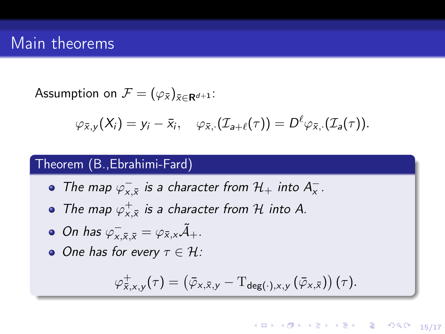### Main theorems

Assumption on  $\mathcal{F} = (\varphi_{\bar{x}})_{\bar{x} \in \mathbf{R}^{d+1}}$ :

$$
\varphi_{\bar{x},y}(X_i)=y_i-\bar{x}_i, \quad \varphi_{\bar{x},\cdot}(\mathcal{I}_{a+\ell}(\tau))=D^\ell\varphi_{\bar{x},\cdot}(\mathcal{I}_{a}(\tau)).
$$

#### Theorem (B.,Ebrahimi-Fard)

- The map  $\varphi_{x,\bar{x}}^-$  is a character from  $\mathcal{H}_+$  into  $A_x^-$ .
- The map  $\varphi_{x,\bar{x}}^{+}$  is a character from H into A.
- On has  $\varphi^-_{x,\bar{x},\bar{x}} = \varphi_{\bar{x},x} \tilde{\mathcal{A}}_+$ .
- $\bullet$  One has for every  $\tau \in \mathcal{H}$ :

$$
\varphi_{\bar{x},x,y}^+(\tau) = \left(\bar{\varphi}_{x,\bar{x},y} - \mathrm{T}_{\text{deg}(\cdot),x,y}\left(\bar{\varphi}_{x,\bar{x}}\right)\right)(\tau).
$$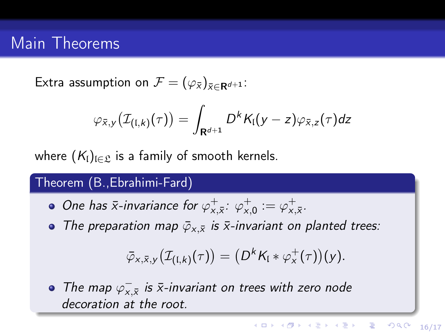## Main Theorems

Extra assumption on  $\mathcal{F} = (\varphi_{\bar{x}})_{\bar{x} \in \mathbf{R}^{d+1}}$ :

$$
\varphi_{\bar{x},y}(\mathcal{I}_{(I,k)}(\tau)) = \int_{\mathbf{R}^{d+1}} D^{k} K_{I}(y-z) \varphi_{\bar{x},z}(\tau) dz
$$

where  $(K_l)_{l \in \mathcal{L}}$  is a family of smooth kernels.

#### Theorem (B.,Ebrahimi-Fard)

- One has  $\bar{x}$ -invariance for  $\varphi_{x,\bar{x}}^{\pm}$ :  $\varphi_{x,0}^{\pm} := \varphi_{x,\bar{x}}^{\pm}$ .
- The preparation map  $\bar{\varphi}_{x,\bar{x}}$  is  $\bar{x}$ -invariant on planted trees:

$$
\bar{\varphi}_{x,\bar{x},y}\big(\mathcal{I}_{(\mathfrak{l},k)}(\tau)\big)=\big(D^{k}K_{\mathfrak{l}}\ast\varphi^{+}_{x}(\tau)\big)(y).
$$

The map  $\varphi_{x,\bar{x}}^-$  is  $\bar{x}$ -invariant on trees with zero node decoration at the root.